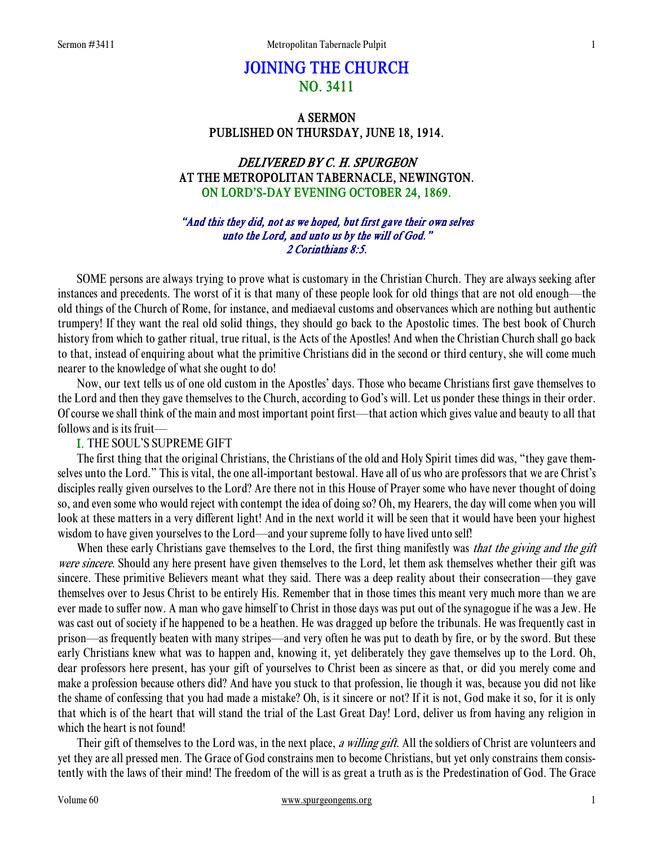# JOINING THE CHURCH NO. 3411

## A SERMON PUBLISHED ON THURSDAY, JUNE 18, 1914.

## DELIVERED BY C. H. SPURGEON AT THE METROPOLITAN TABERNACLE, NEWINGTON. ON LORD'S-DAY EVENING OCTOBER 24, 1869.

## "And this they did, not as we hoped, but first gave their own selves unto the Lord, and unto us by the will of God." 2 Corinthians 8:5.

 SOME persons are always trying to prove what is customary in the Christian Church. They are always seeking after instances and precedents. The worst of it is that many of these people look for old things that are not old enough—the old things of the Church of Rome, for instance, and mediaeval customs and observances which are nothing but authentic trumpery! If they want the real old solid things, they should go back to the Apostolic times. The best book of Church history from which to gather ritual, true ritual, is the Acts of the Apostles! And when the Christian Church shall go back to that, instead of enquiring about what the primitive Christians did in the second or third century, she will come much nearer to the knowledge of what she ought to do!

 Now, our text tells us of one old custom in the Apostles' days. Those who became Christians first gave themselves to the Lord and then they gave themselves to the Church, according to God's will. Let us ponder these things in their order. Of course we shall think of the main and most important point first—that action which gives value and beauty to all that follows and is its fruit—

## I. THE SOUL'S SUPREME GIFT

 The first thing that the original Christians, the Christians of the old and Holy Spirit times did was, "they gave themselves unto the Lord." This is vital, the one all-important bestowal. Have all of us who are professors that we are Christ's disciples really given ourselves to the Lord? Are there not in this House of Prayer some who have never thought of doing so, and even some who would reject with contempt the idea of doing so? Oh, my Hearers, the day will come when you will look at these matters in a very different light! And in the next world it will be seen that it would have been your highest wisdom to have given yourselves to the Lord—and your supreme folly to have lived unto self!

When these early Christians gave themselves to the Lord, the first thing manifestly was *that the giving and the gift* were sincere. Should any here present have given themselves to the Lord, let them ask themselves whether their gift was sincere. These primitive Believers meant what they said. There was a deep reality about their consecration—they gave themselves over to Jesus Christ to be entirely His. Remember that in those times this meant very much more than we are ever made to suffer now. A man who gave himself to Christ in those days was put out of the synagogue if he was a Jew. He was cast out of society if he happened to be a heathen. He was dragged up before the tribunals. He was frequently cast in prison—as frequently beaten with many stripes—and very often he was put to death by fire, or by the sword. But these early Christians knew what was to happen and, knowing it, yet deliberately they gave themselves up to the Lord. Oh, dear professors here present, has your gift of yourselves to Christ been as sincere as that, or did you merely come and make a profession because others did? And have you stuck to that profession, lie though it was, because you did not like the shame of confessing that you had made a mistake? Oh, is it sincere or not? If it is not, God make it so, for it is only that which is of the heart that will stand the trial of the Last Great Day! Lord, deliver us from having any religion in which the heart is not found!

Their gift of themselves to the Lord was, in the next place, a willing gift. All the soldiers of Christ are volunteers and yet they are all pressed men. The Grace of God constrains men to become Christians, but yet only constrains them consistently with the laws of their mind! The freedom of the will is as great a truth as is the Predestination of God. The Grace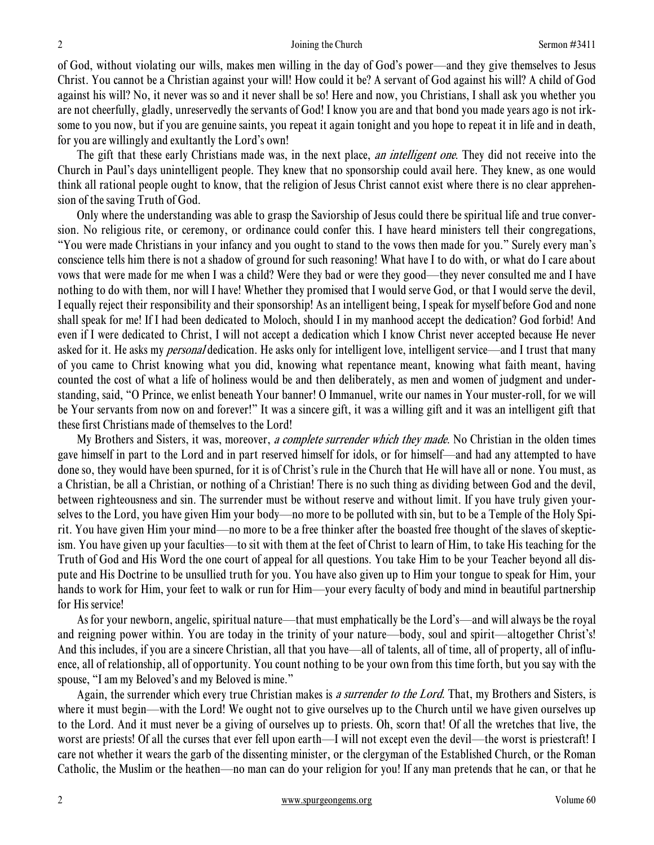of God, without violating our wills, makes men willing in the day of God's power—and they give themselves to Jesus Christ. You cannot be a Christian against your will! How could it be? A servant of God against his will? A child of God against his will? No, it never was so and it never shall be so! Here and now, you Christians, I shall ask you whether you are not cheerfully, gladly, unreservedly the servants of God! I know you are and that bond you made years ago is not irksome to you now, but if you are genuine saints, you repeat it again tonight and you hope to repeat it in life and in death, for you are willingly and exultantly the Lord's own!

The gift that these early Christians made was, in the next place, an intelligent one. They did not receive into the Church in Paul's days unintelligent people. They knew that no sponsorship could avail here. They knew, as one would think all rational people ought to know, that the religion of Jesus Christ cannot exist where there is no clear apprehension of the saving Truth of God.

 Only where the understanding was able to grasp the Saviorship of Jesus could there be spiritual life and true conversion. No religious rite, or ceremony, or ordinance could confer this. I have heard ministers tell their congregations, "You were made Christians in your infancy and you ought to stand to the vows then made for you." Surely every man's conscience tells him there is not a shadow of ground for such reasoning! What have I to do with, or what do I care about vows that were made for me when I was a child? Were they bad or were they good—they never consulted me and I have nothing to do with them, nor will I have! Whether they promised that I would serve God, or that I would serve the devil, I equally reject their responsibility and their sponsorship! As an intelligent being, I speak for myself before God and none shall speak for me! If I had been dedicated to Moloch, should I in my manhood accept the dedication? God forbid! And even if I were dedicated to Christ, I will not accept a dedication which I know Christ never accepted because He never asked for it. He asks my *personal* dedication. He asks only for intelligent love, intelligent service—and I trust that many of you came to Christ knowing what you did, knowing what repentance meant, knowing what faith meant, having counted the cost of what a life of holiness would be and then deliberately, as men and women of judgment and understanding, said, "O Prince, we enlist beneath Your banner! O Immanuel, write our names in Your muster-roll, for we will be Your servants from now on and forever!" It was a sincere gift, it was a willing gift and it was an intelligent gift that these first Christians made of themselves to the Lord!

My Brothers and Sisters, it was, moreover, a complete surrender which they made. No Christian in the olden times gave himself in part to the Lord and in part reserved himself for idols, or for himself—and had any attempted to have done so, they would have been spurned, for it is of Christ's rule in the Church that He will have all or none. You must, as a Christian, be all a Christian, or nothing of a Christian! There is no such thing as dividing between God and the devil, between righteousness and sin. The surrender must be without reserve and without limit. If you have truly given yourselves to the Lord, you have given Him your body—no more to be polluted with sin, but to be a Temple of the Holy Spirit. You have given Him your mind—no more to be a free thinker after the boasted free thought of the slaves of skepticism. You have given up your faculties—to sit with them at the feet of Christ to learn of Him, to take His teaching for the Truth of God and His Word the one court of appeal for all questions. You take Him to be your Teacher beyond all dispute and His Doctrine to be unsullied truth for you. You have also given up to Him your tongue to speak for Him, your hands to work for Him, your feet to walk or run for Him—your every faculty of body and mind in beautiful partnership for His service!

 As for your newborn, angelic, spiritual nature—that must emphatically be the Lord's—and will always be the royal and reigning power within. You are today in the trinity of your nature—body, soul and spirit—altogether Christ's! And this includes, if you are a sincere Christian, all that you have—all of talents, all of time, all of property, all of influence, all of relationship, all of opportunity. You count nothing to be your own from this time forth, but you say with the spouse, "I am my Beloved's and my Beloved is mine."

Again, the surrender which every true Christian makes is *a surrender to the Lord*. That, my Brothers and Sisters, is where it must begin—with the Lord! We ought not to give ourselves up to the Church until we have given ourselves up to the Lord. And it must never be a giving of ourselves up to priests. Oh, scorn that! Of all the wretches that live, the worst are priests! Of all the curses that ever fell upon earth—I will not except even the devil—the worst is priestcraft! I care not whether it wears the garb of the dissenting minister, or the clergyman of the Established Church, or the Roman Catholic, the Muslim or the heathen—no man can do your religion for you! If any man pretends that he can, or that he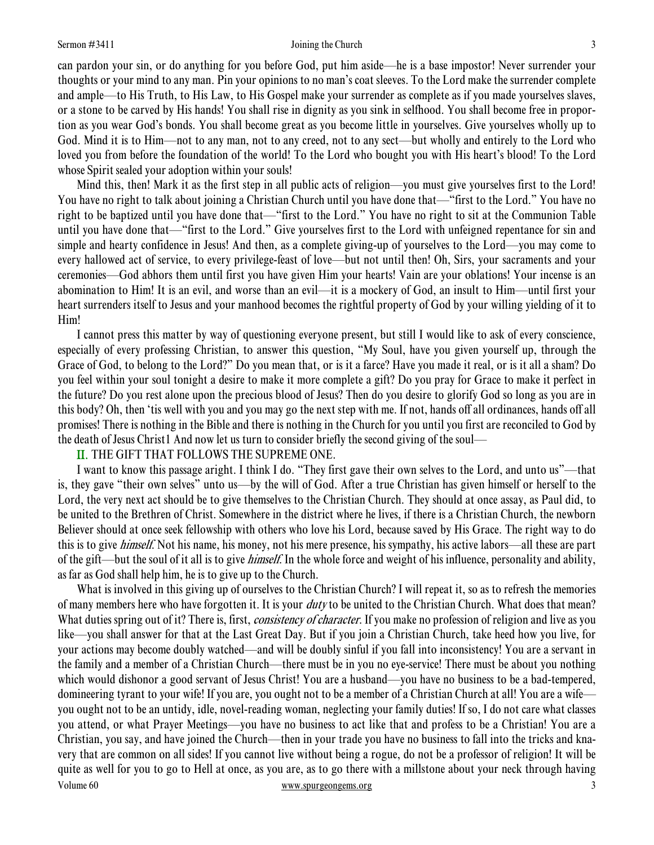#### Sermon #3411 Joining the Church 3

can pardon your sin, or do anything for you before God, put him aside—he is a base impostor! Never surrender your thoughts or your mind to any man. Pin your opinions to no man's coat sleeves. To the Lord make the surrender complete and ample—to His Truth, to His Law, to His Gospel make your surrender as complete as if you made yourselves slaves, or a stone to be carved by His hands! You shall rise in dignity as you sink in selfhood. You shall become free in proportion as you wear God's bonds. You shall become great as you become little in yourselves. Give yourselves wholly up to God. Mind it is to Him—not to any man, not to any creed, not to any sect—but wholly and entirely to the Lord who loved you from before the foundation of the world! To the Lord who bought you with His heart's blood! To the Lord whose Spirit sealed your adoption within your souls!

 Mind this, then! Mark it as the first step in all public acts of religion—you must give yourselves first to the Lord! You have no right to talk about joining a Christian Church until you have done that—"first to the Lord." You have no right to be baptized until you have done that—"first to the Lord." You have no right to sit at the Communion Table until you have done that—"first to the Lord." Give yourselves first to the Lord with unfeigned repentance for sin and simple and hearty confidence in Jesus! And then, as a complete giving-up of yourselves to the Lord—you may come to every hallowed act of service, to every privilege-feast of love—but not until then! Oh, Sirs, your sacraments and your ceremonies—God abhors them until first you have given Him your hearts! Vain are your oblations! Your incense is an abomination to Him! It is an evil, and worse than an evil—it is a mockery of God, an insult to Him—until first your heart surrenders itself to Jesus and your manhood becomes the rightful property of God by your willing yielding of it to Him!

 I cannot press this matter by way of questioning everyone present, but still I would like to ask of every conscience, especially of every professing Christian, to answer this question, "My Soul, have you given yourself up, through the Grace of God, to belong to the Lord?" Do you mean that, or is it a farce? Have you made it real, or is it all a sham? Do you feel within your soul tonight a desire to make it more complete a gift? Do you pray for Grace to make it perfect in the future? Do you rest alone upon the precious blood of Jesus? Then do you desire to glorify God so long as you are in this body? Oh, then 'tis well with you and you may go the next step with me. If not, hands off all ordinances, hands off all promises! There is nothing in the Bible and there is nothing in the Church for you until you first are reconciled to God by the death of Jesus Christ1 And now let us turn to consider briefly the second giving of the soul—

### II. THE GIFT THAT FOLLOWS THE SUPREME ONE.

 I want to know this passage aright. I think I do. "They first gave their own selves to the Lord, and unto us"—that is, they gave "their own selves" unto us—by the will of God. After a true Christian has given himself or herself to the Lord, the very next act should be to give themselves to the Christian Church. They should at once assay, as Paul did, to be united to the Brethren of Christ. Somewhere in the district where he lives, if there is a Christian Church, the newborn Believer should at once seek fellowship with others who love his Lord, because saved by His Grace. The right way to do this is to give *himself*. Not his name, his money, not his mere presence, his sympathy, his active labors—all these are part of the gift—but the soul of it all is to give himself. In the whole force and weight of his influence, personality and ability, as far as God shall help him, he is to give up to the Church.

Volume 60 www.spurgeongems.org 3 What is involved in this giving up of ourselves to the Christian Church? I will repeat it, so as to refresh the memories of many members here who have forgotten it. It is your *duty* to be united to the Christian Church. What does that mean? What duties spring out of it? There is, first, *consistency of character*. If you make no profession of religion and live as you like—you shall answer for that at the Last Great Day. But if you join a Christian Church, take heed how you live, for your actions may become doubly watched—and will be doubly sinful if you fall into inconsistency! You are a servant in the family and a member of a Christian Church—there must be in you no eye-service! There must be about you nothing which would dishonor a good servant of Jesus Christ! You are a husband—you have no business to be a bad-tempered, domineering tyrant to your wife! If you are, you ought not to be a member of a Christian Church at all! You are a wife you ought not to be an untidy, idle, novel-reading woman, neglecting your family duties! If so, I do not care what classes you attend, or what Prayer Meetings—you have no business to act like that and profess to be a Christian! You are a Christian, you say, and have joined the Church—then in your trade you have no business to fall into the tricks and knavery that are common on all sides! If you cannot live without being a rogue, do not be a professor of religion! It will be quite as well for you to go to Hell at once, as you are, as to go there with a millstone about your neck through having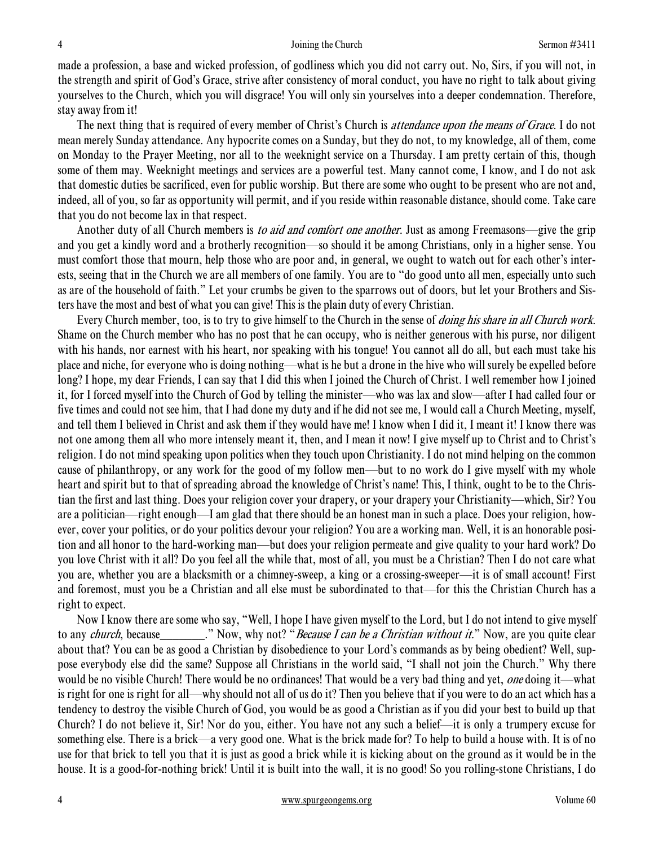made a profession, a base and wicked profession, of godliness which you did not carry out. No, Sirs, if you will not, in the strength and spirit of God's Grace, strive after consistency of moral conduct, you have no right to talk about giving yourselves to the Church, which you will disgrace! You will only sin yourselves into a deeper condemnation. Therefore, stay away from it!

The next thing that is required of every member of Christ's Church is *attendance upon the means of Grace*. I do not mean merely Sunday attendance. Any hypocrite comes on a Sunday, but they do not, to my knowledge, all of them, come on Monday to the Prayer Meeting, nor all to the weeknight service on a Thursday. I am pretty certain of this, though some of them may. Weeknight meetings and services are a powerful test. Many cannot come, I know, and I do not ask that domestic duties be sacrificed, even for public worship. But there are some who ought to be present who are not and, indeed, all of you, so far as opportunity will permit, and if you reside within reasonable distance, should come. Take care that you do not become lax in that respect.

Another duty of all Church members is *to aid and comfort one another*. Just as among Freemasons—give the grip and you get a kindly word and a brotherly recognition—so should it be among Christians, only in a higher sense. You must comfort those that mourn, help those who are poor and, in general, we ought to watch out for each other's interests, seeing that in the Church we are all members of one family. You are to "do good unto all men, especially unto such as are of the household of faith." Let your crumbs be given to the sparrows out of doors, but let your Brothers and Sisters have the most and best of what you can give! This is the plain duty of every Christian.

Every Church member, too, is to try to give himself to the Church in the sense of *doing his share in all Church work*. Shame on the Church member who has no post that he can occupy, who is neither generous with his purse, nor diligent with his hands, nor earnest with his heart, nor speaking with his tongue! You cannot all do all, but each must take his place and niche, for everyone who is doing nothing—what is he but a drone in the hive who will surely be expelled before long? I hope, my dear Friends, I can say that I did this when I joined the Church of Christ. I well remember how I joined it, for I forced myself into the Church of God by telling the minister—who was lax and slow—after I had called four or five times and could not see him, that I had done my duty and if he did not see me, I would call a Church Meeting, myself, and tell them I believed in Christ and ask them if they would have me! I know when I did it, I meant it! I know there was not one among them all who more intensely meant it, then, and I mean it now! I give myself up to Christ and to Christ's religion. I do not mind speaking upon politics when they touch upon Christianity. I do not mind helping on the common cause of philanthropy, or any work for the good of my follow men—but to no work do I give myself with my whole heart and spirit but to that of spreading abroad the knowledge of Christ's name! This, I think, ought to be to the Christian the first and last thing. Does your religion cover your drapery, or your drapery your Christianity—which, Sir? You are a politician—right enough—I am glad that there should be an honest man in such a place. Does your religion, however, cover your politics, or do your politics devour your religion? You are a working man. Well, it is an honorable position and all honor to the hard-working man—but does your religion permeate and give quality to your hard work? Do you love Christ with it all? Do you feel all the while that, most of all, you must be a Christian? Then I do not care what you are, whether you are a blacksmith or a chimney-sweep, a king or a crossing-sweeper—it is of small account! First and foremost, must you be a Christian and all else must be subordinated to that—for this the Christian Church has a right to expect.

 Now I know there are some who say, "Well, I hope I have given myself to the Lord, but I do not intend to give myself to any *church*, because ..." Now, why not? "*Because I can be a Christian without it*." Now, are you quite clear about that? You can be as good a Christian by disobedience to your Lord's commands as by being obedient? Well, suppose everybody else did the same? Suppose all Christians in the world said, "I shall not join the Church." Why there would be no visible Church! There would be no ordinances! That would be a very bad thing and yet, *one* doing it—what is right for one is right for all—why should not all of us do it? Then you believe that if you were to do an act which has a tendency to destroy the visible Church of God, you would be as good a Christian as if you did your best to build up that Church? I do not believe it, Sir! Nor do you, either. You have not any such a belief—it is only a trumpery excuse for something else. There is a brick—a very good one. What is the brick made for? To help to build a house with. It is of no use for that brick to tell you that it is just as good a brick while it is kicking about on the ground as it would be in the house. It is a good-for-nothing brick! Until it is built into the wall, it is no good! So you rolling-stone Christians, I do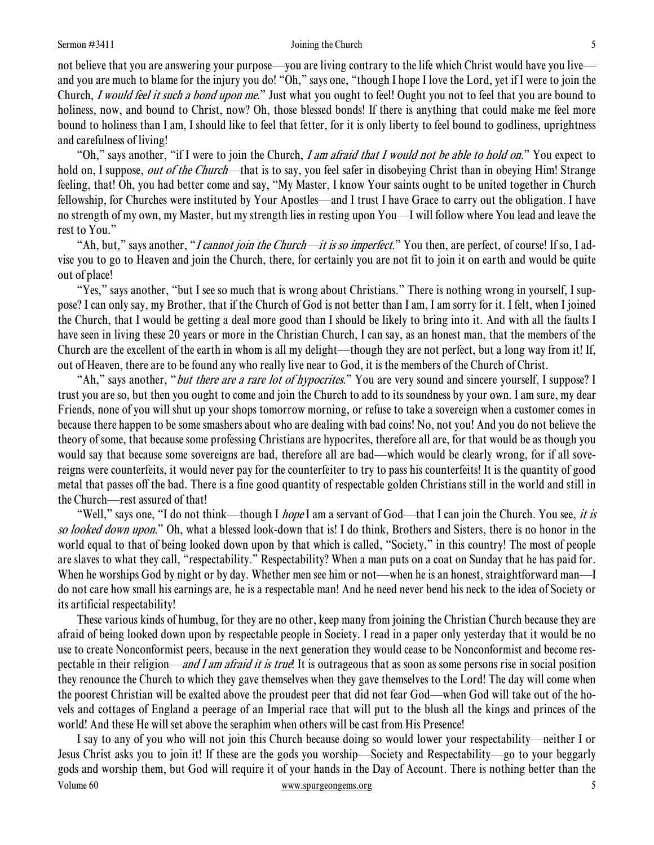#### Sermon #3411 Joining the Church 5

not believe that you are answering your purpose—you are living contrary to the life which Christ would have you live and you are much to blame for the injury you do! "Oh," says one, "though I hope I love the Lord, yet if I were to join the Church, I would feel it such a bond upon me." Just what you ought to feel! Ought you not to feel that you are bound to holiness, now, and bound to Christ, now? Oh, those blessed bonds! If there is anything that could make me feel more bound to holiness than I am, I should like to feel that fetter, for it is only liberty to feel bound to godliness, uprightness and carefulness of living!

"Oh," says another, "if I were to join the Church, I am afraid that I would not be able to hold on." You expect to hold on, I suppose, *out of the Church*—that is to say, you feel safer in disobeying Christ than in obeying Him! Strange feeling, that! Oh, you had better come and say, "My Master, I know Your saints ought to be united together in Church fellowship, for Churches were instituted by Your Apostles—and I trust I have Grace to carry out the obligation. I have no strength of my own, my Master, but my strength lies in resting upon You—I will follow where You lead and leave the rest to You."

"Ah, but," says another, "*I cannot join the Church—it is so imperfect*." You then, are perfect, of course! If so, I advise you to go to Heaven and join the Church, there, for certainly you are not fit to join it on earth and would be quite out of place!

"Yes," says another, "but I see so much that is wrong about Christians." There is nothing wrong in yourself, I suppose? I can only say, my Brother, that if the Church of God is not better than I am, I am sorry for it. I felt, when I joined the Church, that I would be getting a deal more good than I should be likely to bring into it. And with all the faults I have seen in living these 20 years or more in the Christian Church, I can say, as an honest man, that the members of the Church are the excellent of the earth in whom is all my delight—though they are not perfect, but a long way from it! If, out of Heaven, there are to be found any who really live near to God, it is the members of the Church of Christ.

"Ah," says another, "*but there are a rare lot of hypocrites*." You are very sound and sincere yourself, I suppose? I trust you are so, but then you ought to come and join the Church to add to its soundness by your own. I am sure, my dear Friends, none of you will shut up your shops tomorrow morning, or refuse to take a sovereign when a customer comes in because there happen to be some smashers about who are dealing with bad coins! No, not you! And you do not believe the theory of some, that because some professing Christians are hypocrites, therefore all are, for that would be as though you would say that because some sovereigns are bad, therefore all are bad—which would be clearly wrong, for if all sovereigns were counterfeits, it would never pay for the counterfeiter to try to pass his counterfeits! It is the quantity of good metal that passes off the bad. There is a fine good quantity of respectable golden Christians still in the world and still in the Church—rest assured of that!

"Well," says one, "I do not think—though I *hope* I am a servant of God—that I can join the Church. You see, *it is* so looked down upon." Oh, what a blessed look-down that is! I do think, Brothers and Sisters, there is no honor in the world equal to that of being looked down upon by that which is called, "Society," in this country! The most of people are slaves to what they call, "respectability." Respectability? When a man puts on a coat on Sunday that he has paid for. When he worships God by night or by day. Whether men see him or not—when he is an honest, straightforward man—I do not care how small his earnings are, he is a respectable man! And he need never bend his neck to the idea of Society or its artificial respectability!

 These various kinds of humbug, for they are no other, keep many from joining the Christian Church because they are afraid of being looked down upon by respectable people in Society. I read in a paper only yesterday that it would be no use to create Nonconformist peers, because in the next generation they would cease to be Nonconformist and become respectable in their religion—and I am afraid it is true! It is outrageous that as soon as some persons rise in social position they renounce the Church to which they gave themselves when they gave themselves to the Lord! The day will come when the poorest Christian will be exalted above the proudest peer that did not fear God—when God will take out of the hovels and cottages of England a peerage of an Imperial race that will put to the blush all the kings and princes of the world! And these He will set above the seraphim when others will be cast from His Presence!

Volume 60 www.spurgeongems.org 5 I say to any of you who will not join this Church because doing so would lower your respectability—neither I or Jesus Christ asks you to join it! If these are the gods you worship—Society and Respectability—go to your beggarly gods and worship them, but God will require it of your hands in the Day of Account. There is nothing better than the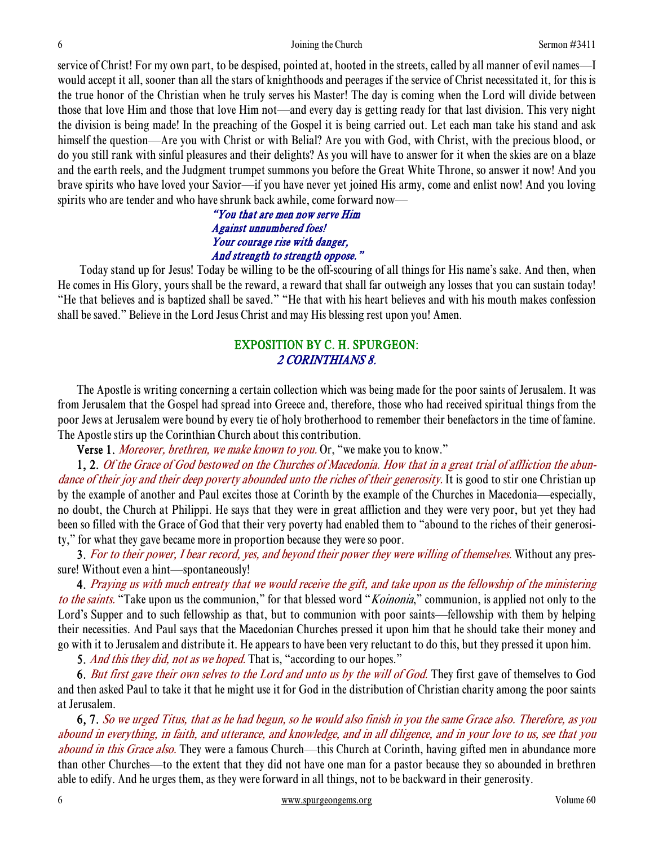service of Christ! For my own part, to be despised, pointed at, hooted in the streets, called by all manner of evil names—I would accept it all, sooner than all the stars of knighthoods and peerages if the service of Christ necessitated it, for this is the true honor of the Christian when he truly serves his Master! The day is coming when the Lord will divide between those that love Him and those that love Him not—and every day is getting ready for that last division. This very night the division is being made! In the preaching of the Gospel it is being carried out. Let each man take his stand and ask himself the question—Are you with Christ or with Belial? Are you with God, with Christ, with the precious blood, or do you still rank with sinful pleasures and their delights? As you will have to answer for it when the skies are on a blaze and the earth reels, and the Judgment trumpet summons you before the Great White Throne, so answer it now! And you brave spirits who have loved your Savior—if you have never yet joined His army, come and enlist now! And you loving spirits who are tender and who have shrunk back awhile, come forward now—

## "You that are men now serve Him Against unnumbered foes! Your courage rise with danger, And strength to strength oppose."

 Today stand up for Jesus! Today be willing to be the off-scouring of all things for His name's sake. And then, when He comes in His Glory, yours shall be the reward, a reward that shall far outweigh any losses that you can sustain today! "He that believes and is baptized shall be saved." "He that with his heart believes and with his mouth makes confession shall be saved." Believe in the Lord Jesus Christ and may His blessing rest upon you! Amen.

## EXPOSITION BY C. H. SPURGEON: 2 CORINTHIANS 8.

 The Apostle is writing concerning a certain collection which was being made for the poor saints of Jerusalem. It was from Jerusalem that the Gospel had spread into Greece and, therefore, those who had received spiritual things from the poor Jews at Jerusalem were bound by every tie of holy brotherhood to remember their benefactors in the time of famine. The Apostle stirs up the Corinthian Church about this contribution.

Verse 1. Moreover, brethren, we make known to you. Or, "we make you to know."

1, 2. Of the Grace of God bestowed on the Churches of Macedonia. How that in a great trial of affliction the abundance of their joy and their deep poverty abounded unto the riches of their generosity. It is good to stir one Christian up by the example of another and Paul excites those at Corinth by the example of the Churches in Macedonia—especially, no doubt, the Church at Philippi. He says that they were in great affliction and they were very poor, but yet they had been so filled with the Grace of God that their very poverty had enabled them to "abound to the riches of their generosity," for what they gave became more in proportion because they were so poor.

3. For to their power, I bear record, yes, and beyond their power they were willing of themselves. Without any pressure! Without even a hint—spontaneously!

4. Praying us with much entreaty that we would receive the gift, and take upon us the fellowship of the ministering to the saints. "Take upon us the communion," for that blessed word "*Koinonia*," communion, is applied not only to the Lord's Supper and to such fellowship as that, but to communion with poor saints—fellowship with them by helping their necessities. And Paul says that the Macedonian Churches pressed it upon him that he should take their money and go with it to Jerusalem and distribute it. He appears to have been very reluctant to do this, but they pressed it upon him.

5. And this they did, not as we hoped. That is, "according to our hopes."

6. But first gave their own selves to the Lord and unto us by the will of God. They first gave of themselves to God and then asked Paul to take it that he might use it for God in the distribution of Christian charity among the poor saints at Jerusalem.

6, 7. So we urged Titus, that as he had begun, so he would also finish in you the same Grace also. Therefore, as you abound in everything, in faith, and utterance, and knowledge, and in all diligence, and in your love to us, see that you abound in this Grace also. They were a famous Church—this Church at Corinth, having gifted men in abundance more than other Churches—to the extent that they did not have one man for a pastor because they so abounded in brethren able to edify. And he urges them, as they were forward in all things, not to be backward in their generosity.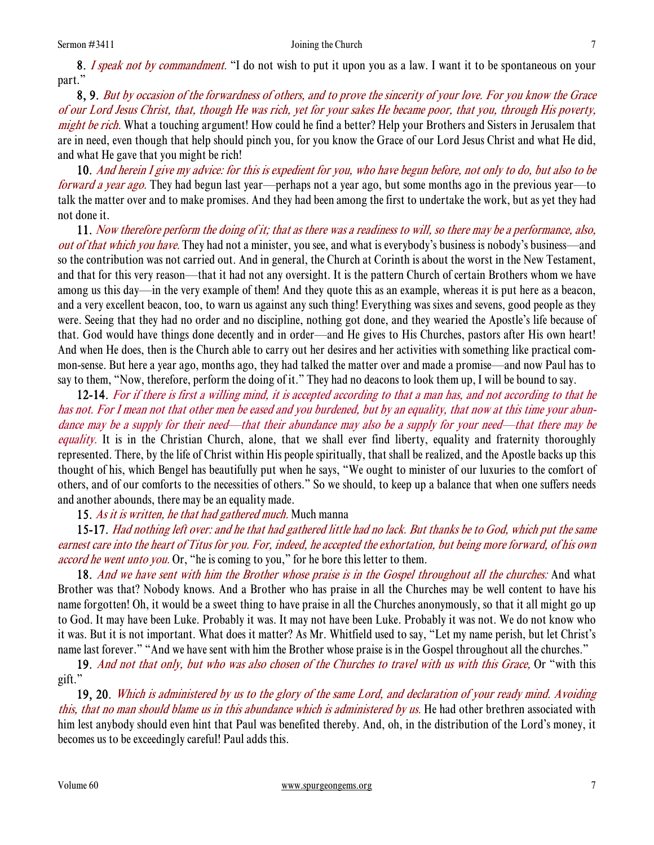8. I speak not by commandment. "I do not wish to put it upon you as a law. I want it to be spontaneous on your part."

8, 9. But by occasion of the forwardness of others, and to prove the sincerity of your love. For you know the Grace of our Lord Jesus Christ, that, though He was rich, yet for your sakes He became poor, that you, through His poverty, might be rich. What a touching argument! How could he find a better? Help your Brothers and Sisters in Jerusalem that are in need, even though that help should pinch you, for you know the Grace of our Lord Jesus Christ and what He did, and what He gave that you might be rich!

10. And herein I give my advice: for this is expedient for you, who have begun before, not only to do, but also to be forward a year ago. They had begun last year—perhaps not a year ago, but some months ago in the previous year—to talk the matter over and to make promises. And they had been among the first to undertake the work, but as yet they had not done it.

11. Now therefore perform the doing of it; that as there was a readiness to will, so there may be a performance, also, out of that which you have. They had not a minister, you see, and what is everybody's business is nobody's business—and so the contribution was not carried out. And in general, the Church at Corinth is about the worst in the New Testament, and that for this very reason—that it had not any oversight. It is the pattern Church of certain Brothers whom we have among us this day—in the very example of them! And they quote this as an example, whereas it is put here as a beacon, and a very excellent beacon, too, to warn us against any such thing! Everything was sixes and sevens, good people as they were. Seeing that they had no order and no discipline, nothing got done, and they wearied the Apostle's life because of that. God would have things done decently and in order—and He gives to His Churches, pastors after His own heart! And when He does, then is the Church able to carry out her desires and her activities with something like practical common-sense. But here a year ago, months ago, they had talked the matter over and made a promise—and now Paul has to say to them, "Now, therefore, perform the doing of it." They had no deacons to look them up, I will be bound to say.

12-14. For if there is first a willing mind, it is accepted according to that a man has, and not according to that he has not. For I mean not that other men be eased and you burdened, but by an equality, that now at this time your abundance may be a supply for their need—that their abundance may also be a supply for your need—that there may be equality. It is in the Christian Church, alone, that we shall ever find liberty, equality and fraternity thoroughly represented. There, by the life of Christ within His people spiritually, that shall be realized, and the Apostle backs up this thought of his, which Bengel has beautifully put when he says, "We ought to minister of our luxuries to the comfort of others, and of our comforts to the necessities of others." So we should, to keep up a balance that when one suffers needs and another abounds, there may be an equality made.

15. As it is written, he that had gathered much. Much manna

15-17. Had nothing left over: and he that had gathered little had no lack. But thanks be to God, which put the same earnest care into the heart of Titus for you. For, indeed, he accepted the exhortation, but being more forward, of his own accord he went unto you. Or, "he is coming to you," for he bore this letter to them.

18. And we have sent with him the Brother whose praise is in the Gospel throughout all the churches: And what Brother was that? Nobody knows. And a Brother who has praise in all the Churches may be well content to have his name forgotten! Oh, it would be a sweet thing to have praise in all the Churches anonymously, so that it all might go up to God. It may have been Luke. Probably it was. It may not have been Luke. Probably it was not. We do not know who it was. But it is not important. What does it matter? As Mr. Whitfield used to say, "Let my name perish, but let Christ's name last forever." "And we have sent with him the Brother whose praise is in the Gospel throughout all the churches."

19. And not that only, but who was also chosen of the Churches to travel with us with this Grace, Or "with this gift."

19, 20. Which is administered by us to the glory of the same Lord, and declaration of your ready mind. Avoiding this, that no man should blame us in this abundance which is administered by us. He had other brethren associated with him lest anybody should even hint that Paul was benefited thereby. And, oh, in the distribution of the Lord's money, it becomes us to be exceedingly careful! Paul adds this.

Volume 60 www.spurgeongems.org 7 7